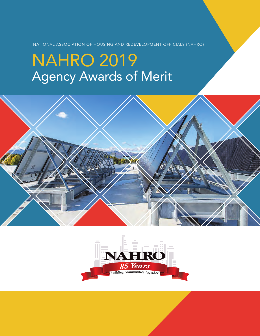NATIONAL ASSOCIATION OF HOUSING AND REDEVELOPMENT OFFICIALS (NAHRO)

# NAHRO 2019 Agency Awards of Merit



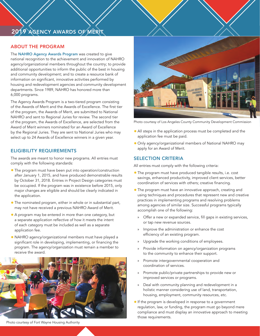# 2019 AGENCY AWARDS OF MERIT

# ABOUT THE PROGRAM

The NAHRO Agency Awards Program was created to give national recognition to the achievement and innovation of NAHRO agency/organizational members throughout the country; to provide additional opportunities to inform the public of the best in housing and community development; and to create a resource bank of information on significant, innovative activities performed by housing and redevelopment agencies and community development departments. Since 1989, NAHRO has honored more than 6,000 programs.

The Agency Awards Program is a two-tiered program consisting of the Awards of Merit and the Awards of Excellence. The first tier of the program, the Awards of Merit, are submitted to National NAHRO and sent to Regional Juries for review. The second tier of the program, the Awards of Excellence, are selected from the Award of Merit winners nominated for an Award of Excellence by the Regional Juries. They are sent to National Juries who may select up to 24 Awards of Excellence winners in a given year.

# ELIGIBILITY REQUIREMENTS

The awards are meant to honor new programs. All entries must comply with the following standards:

- **•** The program must have been put into operation/construction after January 1, 2015, and have produced demonstrable results by October 31, 2018. Entries in Project Design categories must be occupied. If the program was in existence before 2015, only major changes are eligible and should be clearly indicated in the application.
- **•** The nominated program, either in whole or in substantial part, may not have received a previous NAHRO Award of Merit.
- **•** A program may be entered in more than one category, but a separate application reflective of how it meets the intent of each category must be included as well as a separate application fee.
- **•** NAHRO agency/organizational members must have played a significant role in developing, implementing, or financing the program. The agency/organization must remain a member to receive the award.



**•** All steps in the application process must be completed and the Photo courtesy of Los Angeles County Community Development Commission

application fee must be paid. **•** Only agency/organizational members of National NAHRO may

# SELECTION CRITERIA

apply for an Award of Merit.

All entries must comply with the following criteria:

- **•** The program must have produced tangible results, i.e. cost savings, enhanced productivity, improved client services, better coordination of services with others; creative financing.
- **•** The program must have an innovative approach, creating and using techniques and procedures that represent new and creative practices in implementing programs and resolving problems among agencies of similar size. Successful programs typically accomplish one of the following:
	- » Offer a new or expanded service, fill gaps in existing services, or tap new revenue sources.
	- » Improve the administration or enhance the cost efficiency of an existing program.
	- » Upgrade the working conditions of employees.
	- Provide information on agency/organization programs to the community to enhance their support.
	- Promote intergovernmental cooperation and coordination of services.
	- » Promote public/private partnerships to provide new or improved services or programs.
	- » Deal with community planning and redevelopment in a holistic manner considering use of land, transportation, housing, employment, community resources, etc.
- **•**If the program is developed in response to a government regulation, law, or funding, the program must go beyond mere compliance and must display an innovative approach to meeting those requirements.

Photo courtesy of Fort Wayne Housing Authority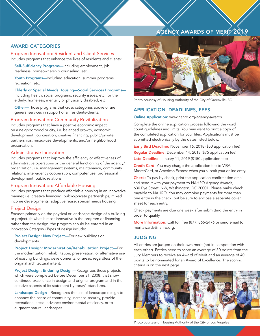# AGENCY AWARDS OF MERIT 2019

## AWARD CATEGORIES

Program Innovation: Resident and Client Services Includes programs that enhance the lives of residents and clients:

Self-Sufficiency Programs—Including employment, job readiness, homeownership counseling, etc.

Youth Programs-Including education, summer programs, recreation, etc.

Elderly or Special Needs Housing—Social Services Programs— Including health, social programs, security issues, etc. for the elderly, homeless, mentally or physically disabled, etc.

Other—Those programs that cross categories above or are general services in support of all residents/clients.

#### Program Innovation: Community Revitalization

Includes programs that have a positive economic impact on a neighborhood or city, i.e. balanced growth, economic development, job creation, creative financing, public/private partnerships, mixed-use developments, and/or neighborhood preservation.

#### Administrative Innovation

Includes programs that improve the efficiency or effectiveness of administrative operations or the general functioning of the agency/ organization, i.e. management systems, maintenance, community relations, inter-agency cooperation, computer use, professional development, public relations.

#### Program Innovation: Affordable Housing

Includes programs that produce affordable housing in an innovative manner, i.e. creative financing, public/private partnerships, mixed income developments, adaptive reuse, special needs housing.

#### Project Design

Focuses primarily on the physical or landscape design of a building or project. (If what is most innovative is the program or financing rather than the design, the program should be entered in an Innovation Category.) Types of design include:

Project Design: New Project—For new buildings or developments.

Project Design: Modernization/Rehabilitation Project—For the modernization, rehabilitation, preservation, or alternative use of existing buildings, developments, or areas, regardless of their original architectural intent.

Project Design: Enduring Design—Recognizes those projects which were completed before December 31, 2008, that show continued excellence in design and original program and in the creative aspects of its statement by today's standards.

Landscape Design—Recognizes the use of landscape design to enhance the sense of community, increase security, provide recreational areas, advance environmental efficiency, or to augment natural landscapes.



Photo courtesy of Housing Authority of the City of Greenville, SC

# APPLICATION, DEADLINES, FEES

Online Application: www.nahro.org/agency-awards

Complete the online application process following the word count guidelines and limits. You may want to print a copy of the completed application for your files. Applications must be submitted electronically by the dates listed below.

Early Bird Deadline: November 16, 2018 (\$50 application fee) Regular Deadline: December 14, 2018 (\$75 application fee) Late Deadline: January 11, 2019 (\$150 application fee)

Credit Card: You may charge the application fee to VISA, MasterCard, or American Express when you submit your online entry.

Check: To pay by check, print the application confirmation email and send it with your payment to NAHRO Agency Awards, 630 Eye Street, NW, Washington, DC 20001. Please make check payable to NAHRO. You may combine payments for more than one entry in the check, but be sure to enclose a separate cover sheet for each entry.

Check payments are due one week after submitting the entry in order to qualify.

More Information: Call toll free (877) 866-2476 or send email to meritawards@nahro.org.

# JUDGING

All entries are judged on their own merit (not in competition with each other). Entries need to score an average of 30 points from the Jury Members to receive an Award of Merit and an average of 40 points to be nominated for an Award of Excellence. The scoring criteria is on the next page.



Photo courtesy of Housing Authority of the City of Los Angeles